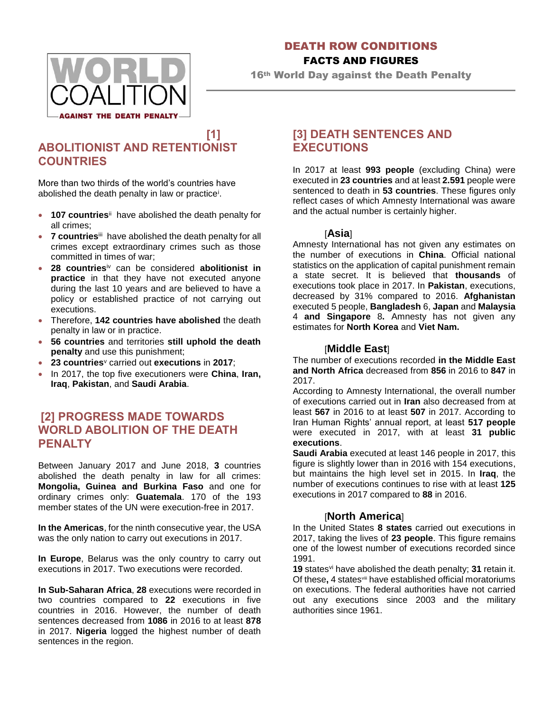

#### DEATH ROW CONDITIONS

### FACTS AND FIGURES

16th World Day against the Death Penalty

## **[1] ABOLITIONIST AND RETENTIONIST COUNTRIES**

More than two thirds of the world's countries have abolished the death penalty in law or practice<sup>i</sup>.

- **107 countries**<sup>ii</sup> have abolished the death penalty for all crimes;
- **7 countries**iii have abolished the death penalty for all crimes except extraordinary crimes such as those committed in times of war;
- **28 countries**iv can be considered **abolitionist in practice** in that they have not executed anyone during the last 10 years and are believed to have a policy or established practice of not carrying out executions.
- Therefore, **142 countries have abolished** the death penalty in law or in practice.
- **56 countries** and territories **still uphold the death penalty** and use this punishment;
- **23 countries**<sup>v</sup> carried out **executions** in **2017**;
- In 2017, the top five executioners were **China**, **Iran, Iraq**, **Pakistan**, and **Saudi Arabia**.

## **[2] PROGRESS MADE TOWARDS WORLD ABOLITION OF THE DEATH PENALTY**

Between January 2017 and June 2018, **3** countries abolished the death penalty in law for all crimes: **Mongolia, Guinea and Burkina Faso** and one for ordinary crimes only: **Guatemala**. 170 of the 193 member states of the UN were execution-free in 2017.

**In the Americas**, for the ninth consecutive year, the USA was the only nation to carry out executions in 2017.

**In Europe**, Belarus was the only country to carry out executions in 2017. Two executions were recorded.

**In Sub-Saharan Africa**, **28** executions were recorded in two countries compared to **22** executions in five countries in 2016. However, the number of death sentences decreased from **1086** in 2016 to at least **878** in 2017. **Nigeria** logged the highest number of death sentences in the region.

## **[3] DEATH SENTENCES AND EXECUTIONS**

In 2017 at least **993 people** (excluding China) were executed in **23 countries** and at least **2.591** people were sentenced to death in **53 countries**. These figures only reflect cases of which Amnesty International was aware and the actual number is certainly higher.

#### [**Asia**]

Amnesty International has not given any estimates on the number of executions in **China**. Official national statistics on the application of capital punishment remain a state secret. It is believed that **thousands** of executions took place in 2017. In **Pakistan**, executions, decreased by 31% compared to 2016. **Afghanistan** executed 5 people, **Bangladesh** 6, **Japan** and **Malaysia** 4 **and Singapore** 8**.** Amnesty has not given any estimates for **North Korea** and **Viet Nam.**

#### [**Middle East**]

The number of executions recorded **in the Middle East and North Africa** decreased from **856** in 2016 to **847** in 2017.

According to Amnesty International, the overall number of executions carried out in **Iran** also decreased from at least **567** in 2016 to at least **507** in 2017. According to Iran Human Rights' annual report, at least **517 people** were executed in 2017, with at least **31 public executions**.

**Saudi Arabia** executed at least 146 people in 2017, this figure is slightly lower than in 2016 with 154 executions, but maintains the high level set in 2015. In **Iraq**, the number of executions continues to rise with at least **125** executions in 2017 compared to **88** in 2016.

#### [**North America**]

In the United States **8 states** carried out executions in 2017, taking the lives of **23 people**. This figure remains one of the lowest number of executions recorded since 1991.

**19** statesvi have abolished the death penalty; **31** retain it. Of these**,** 4 statesviii have established official moratoriums on executions. The federal authorities have not carried out any executions since 2003 and the military authorities since 1961.